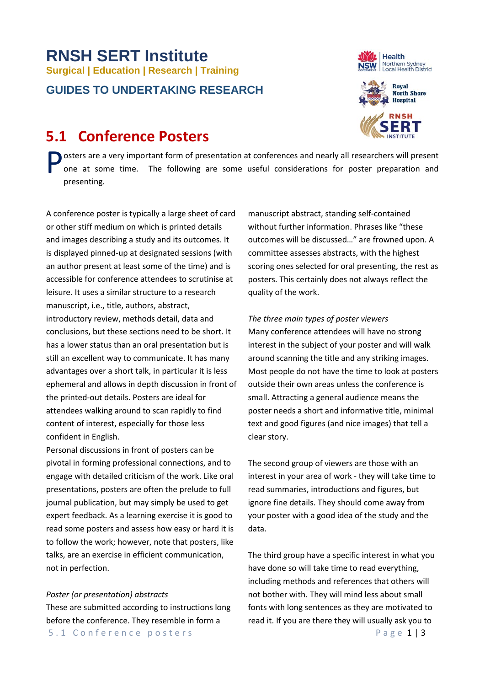# **RNSH SERT Institute Surgical | Education | Research | Training GUIDES TO UNDERTAKING RESEARCH**

# **5.1 Conference Posters**

Health Northern Sydney<br>Local Health District



osters are a very important form of presentation at conferences and nearly all researchers will present one at some time. The following are some useful considerations for poster preparation and presenting. P

A conference poster is typically a large sheet of card or other stiff medium on which is printed details and images describing a study and its outcomes. It is displayed pinned-up at designated sessions (with an author present at least some of the time) and is accessible for conference attendees to scrutinise at leisure. It uses a similar structure to a research manuscript, i.e., title, authors, abstract, introductory review, methods detail, data and conclusions, but these sections need to be short. It has a lower status than an oral presentation but is still an excellent way to communicate. It has many advantages over a short talk, in particular it is less ephemeral and allows in depth discussion in front of the printed-out details. Posters are ideal for attendees walking around to scan rapidly to find content of interest, especially for those less confident in English.

Personal discussions in front of posters can be pivotal in forming professional connections, and to engage with detailed criticism of the work. Like oral presentations, posters are often the prelude to full journal publication, but may simply be used to get expert feedback. As a learning exercise it is good to read some posters and assess how easy or hard it is to follow the work; however, note that posters, like talks, are an exercise in efficient communication, not in perfection.

#### *Poster (or presentation) abstracts*

5.1 Conference posters Page 1 | 3 These are submitted according to instructions long before the conference. They resemble in form a

manuscript abstract, standing self-contained without further information. Phrases like "these outcomes will be discussed…" are frowned upon. A committee assesses abstracts, with the highest scoring ones selected for oral presenting, the rest as posters. This certainly does not always reflect the quality of the work.

*The three main types of poster viewers* Many conference attendees will have no strong interest in the subject of your poster and will walk around scanning the title and any striking images. Most people do not have the time to look at posters outside their own areas unless the conference is small. Attracting a general audience means the poster needs a short and informative title, minimal text and good figures (and nice images) that tell a clear story.

The second group of viewers are those with an interest in your area of work - they will take time to read summaries, introductions and figures, but ignore fine details. They should come away from your poster with a good idea of the study and the data.

The third group have a specific interest in what you have done so will take time to read everything, including methods and references that others will not bother with. They will mind less about small fonts with long sentences as they are motivated to read it. If you are there they will usually ask you to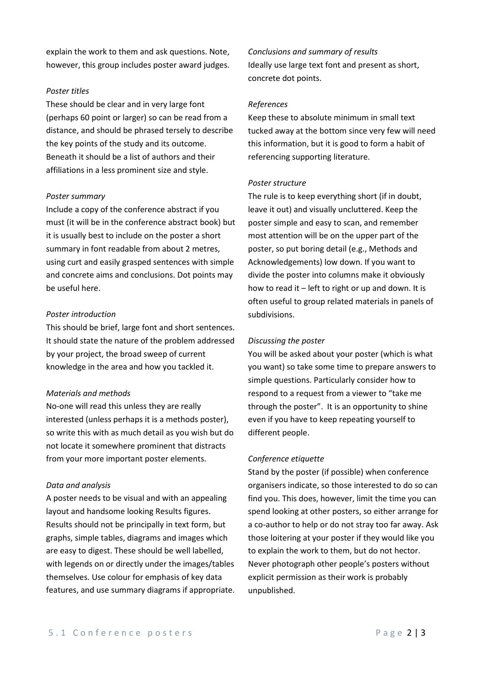explain the work to them and ask questions. Note, however, this group includes poster award judges.

#### *Poster titles*

These should be clear and in very large font (perhaps 60 point or larger) so can be read from a distance, and should be phrased tersely to describe the key points of the study and its outcome. Beneath it should be a list of authors and their affiliations in a less prominent size and style.

#### *Poster summary*

Include a copy of the conference abstract if you must (it will be in the conference abstract book) but it is usually best to include on the poster a short summary in font readable from about 2 metres, using curt and easily grasped sentences with simple and concrete aims and conclusions. Dot points may be useful here.

# *Poster introduction*

This should be brief, large font and short sentences. It should state the nature of the problem addressed by your project, the broad sweep of current knowledge in the area and how you tackled it.

#### *Materials and methods*

No-one will read this unless they are really interested (unless perhaps it is a methods poster), so write this with as much detail as you wish but do not locate it somewhere prominent that distracts from your more important poster elements.

#### *Data and analysis*

A poster needs to be visual and with an appealing layout and handsome looking Results figures. Results should not be principally in text form, but graphs, simple tables, diagrams and images which are easy to digest. These should be well labelled, with legends on or directly under the images/tables themselves. Use colour for emphasis of key data features, and use summary diagrams if appropriate. *Conclusions and summary of results* Ideally use large text font and present as short, concrete dot points.

## *References*

Keep these to absolute minimum in small text tucked away at the bottom since very few will need this information, but it is good to form a habit of referencing supporting literature.

# *Poster structure*

The rule is to keep everything short (if in doubt, leave it out) and visually uncluttered. Keep the poster simple and easy to scan, and remember most attention will be on the upper part of the poster, so put boring detail (e.g., Methods and Acknowledgements) low down. If you want to divide the poster into columns make it obviously how to read it – left to right or up and down. It is often useful to group related materials in panels of subdivisions.

#### *Discussing the poster*

You will be asked about your poster (which is what you want) so take some time to prepare answers to simple questions. Particularly consider how to respond to a request from a viewer to "take me through the poster". It is an opportunity to shine even if you have to keep repeating yourself to different people.

### *Conference etiquette*

Stand by the poster (if possible) when conference organisers indicate, so those interested to do so can find you. This does, however, limit the time you can spend looking at other posters, so either arrange for a co-author to help or do not stray too far away. Ask those loitering at your poster if they would like you to explain the work to them, but do not hector. Never photograph other people's posters without explicit permission as their work is probably unpublished.